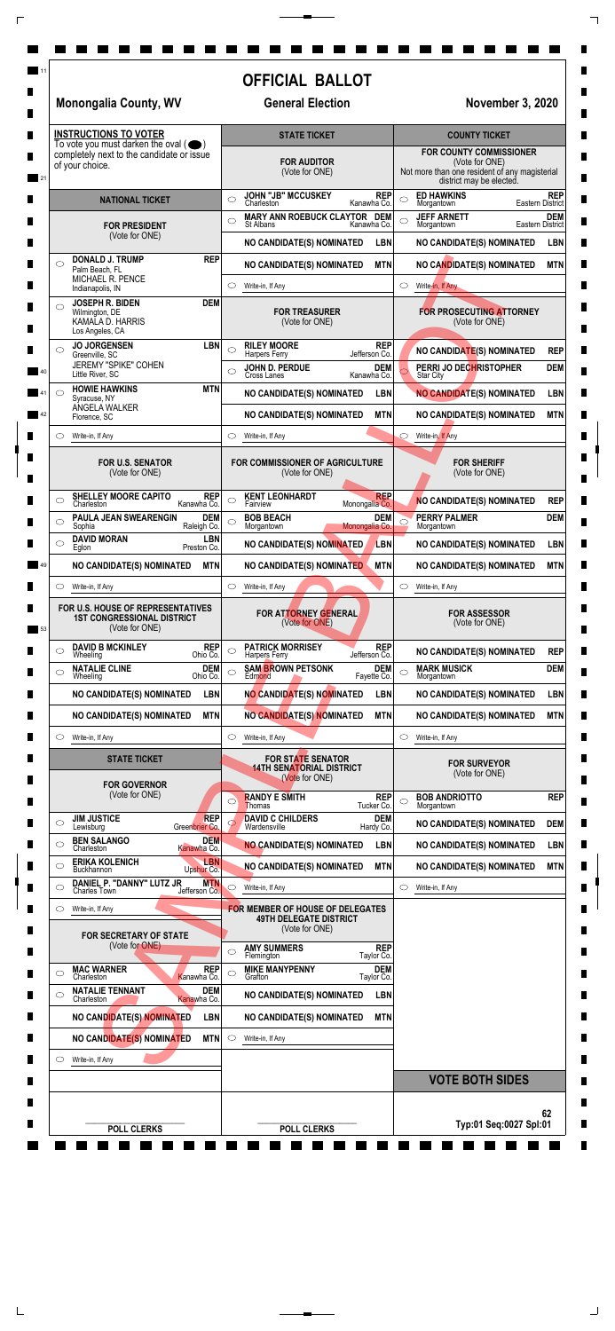| 11 | <b>Monongalia County, WV</b>                                                                                         | <b>OFFICIAL BALLOT</b><br><b>General Election</b>                                                                                               | <b>November 3, 2020</b>                                                                                                                                                  |  |  |
|----|----------------------------------------------------------------------------------------------------------------------|-------------------------------------------------------------------------------------------------------------------------------------------------|--------------------------------------------------------------------------------------------------------------------------------------------------------------------------|--|--|
|    | <b>INSTRUCTIONS TO VOTER</b><br>To vote you must darken the oval $($ $\bullet)$                                      | <b>STATE TICKET</b>                                                                                                                             | <b>COUNTY TICKET</b>                                                                                                                                                     |  |  |
| 21 | completely next to the candidate or issue<br>of your choice.                                                         | <b>FOR AUDITOR</b><br>(Vote for ONE)                                                                                                            | <b>FOR COUNTY COMMISSIONER</b><br>(Vote for ONE)<br>Not more than one resident of any magisterial<br>district may be elected.                                            |  |  |
|    | <b>NATIONAL TICKET</b><br><b>FOR PRESIDENT</b>                                                                       | JOHN "JB" MCCUSKEY<br>Charleston<br><b>REP</b><br>$\circ$<br>Kanawha Co.<br>MARY ANN ROEBUCK CLAYTOR DEM<br>$\circ$<br>St Albans<br>Kanawha Co. | <b>ED HAWKINS</b><br><b>REP</b><br>C<br><b>Eastern District</b><br>Morgantown<br><b>JEFF ARNETT</b><br><b>DEM</b><br>$\bigcirc$<br><b>Eastern District</b><br>Morgantown |  |  |
|    | (Vote for ONE)                                                                                                       | <b>NO CANDIDATE(S) NOMINATED</b><br><b>LBN</b>                                                                                                  | NO CANDIDATE(S) NOMINATED<br><b>LBN</b>                                                                                                                                  |  |  |
|    | <b>REP</b><br><b>DONALD J. TRUMP</b><br>◯<br>Palm Beach, FL                                                          | <b>MTN</b><br><b>NO CANDIDATE(S) NOMINATED</b>                                                                                                  | NO CANDIDATE(S) NOMINATED<br><b>MTN</b>                                                                                                                                  |  |  |
|    | MICHAEL R. PENCE<br>Indianapolis, IN                                                                                 | $\circ$<br>Write-in, If Any                                                                                                                     | $\circ$<br>Write-in, If Any                                                                                                                                              |  |  |
|    | <b>DEM</b><br><b>JOSEPH R. BIDEN</b><br>$\circlearrowright$<br>Wilmington, DE<br>KAMALA D. HARRIS<br>Los Angeles, CA | <b>FOR TREASURER</b><br>(Vote for ONE)                                                                                                          | <b>FOR PROSECUTING ATTORNEY</b><br>(Vote for ONE)                                                                                                                        |  |  |
|    | <b>JO JORGENSEN</b><br><b>LBN</b><br>◯<br>Greenville, SC                                                             | <b>RILEY MOORE</b><br><b>REP</b><br>$\bigcirc$<br>Jefferson Co.<br><b>Harpers Ferry</b>                                                         | NO CANDIDATE(S) NOMINATED<br><b>REP</b>                                                                                                                                  |  |  |
| 40 | JEREMY "SPIKE" COHEN<br>Little River, SC                                                                             | <b>DEM</b><br>JOHN D. PERDUE<br>Cross Lanes<br>$\circ$<br>Kanawha Co.                                                                           | PERRI JO DECHRISTOPHER<br><b>DEM</b><br><b>Star City</b>                                                                                                                 |  |  |
|    | <b>HOWIE HAWKINS</b><br><b>MTN</b><br>◯<br>Syracuse, NY                                                              | <b>LBN</b><br>NO CANDIDATE(S) NOMINATED                                                                                                         | <b>NO CANDIDATE(S) NOMINATED</b><br><b>LBN</b>                                                                                                                           |  |  |
| 42 | ANGELA WALKER<br>Florence, SC                                                                                        | <b>MTN</b><br><b>NO CANDIDATE(S) NOMINATED</b>                                                                                                  | NO CANDIDATE(S) NOMINATED<br><b>MTN</b>                                                                                                                                  |  |  |
|    | Write-in, If Any                                                                                                     | $\circ$<br>Write-in, If Any                                                                                                                     | $\circ$<br>Write-in, If Any                                                                                                                                              |  |  |
|    | FOR U.S. SENATOR<br>(Vote for ONE)                                                                                   | FOR COMMISSIONER OF AGRICULTURE<br>(Vote for ONE)                                                                                               | <b>FOR SHERIFF</b><br>(Vote for ONE)                                                                                                                                     |  |  |
|    | <b>SHELLEY MOORE CAPITO</b><br><b>REP</b><br>$\circlearrowright$<br>Charleston<br>Kanawha Co.                        | <b>REP</b><br><b>KENT LEONHARDT</b><br>$\circ$<br>Monongalia Co.<br>Fairview                                                                    | <b>REP</b><br><b>NO CANDIDATE(S) NOMINATED</b>                                                                                                                           |  |  |
|    | PAULA JEAN SWEARENGIN<br><b>DEM</b><br>$\circlearrowright$<br>Raleigh Co.<br>Sophia                                  | <b>BOB BEACH</b><br><b>DEM</b><br>$\circ$<br>Monongalia Co.<br>Morgantown                                                                       | <b>DEM</b><br><b>PERRY PALMER</b><br>$\circ$<br>Morgantown                                                                                                               |  |  |
|    | <b>DAVID MORAN</b><br><b>LBN</b><br>$\circlearrowright$<br>Preston Co.<br>Eglon                                      | NO CANDIDATE(S) NOMINATED<br>LBN                                                                                                                | NO CANDIDATE(S) NOMINATED<br><b>LBN</b>                                                                                                                                  |  |  |
| 49 | NO CANDIDATE(S) NOMINATED<br><b>MTN</b>                                                                              | <b>MTN</b><br>NO CANDIDATE(S) NOMINATED                                                                                                         | <b>MTN</b><br>NO CANDIDATE(S) NOMINATED                                                                                                                                  |  |  |
|    | O<br>Write-in, If Any                                                                                                | $\circlearrowright$<br>Write-in, If Any                                                                                                         | Write-in, If Any<br>$\circ$                                                                                                                                              |  |  |
| 53 | FOR U.S. HOUSE OF REPRESENTATIVES<br><b>1ST CONGRESSIONAL DISTRICT</b><br>(Vote for ONE)                             | FOR ATTORNEY GENERAL<br>(Vote for ONE)                                                                                                          | <b>FOR ASSESSOR</b><br>(Vote for ONE)                                                                                                                                    |  |  |
|    | <b>DAVID B MCKINLEY</b><br><b>REP</b><br>$\circlearrowright$<br>Ohio Co.<br>Wheeling                                 | <b>PATRICK MORRISEY</b><br><b>REP</b><br>$\circlearrowright$<br>Jefferson Co.<br><b>Harpers Ferry</b>                                           | NO CANDIDATE(S) NOMINATED<br><b>REP</b>                                                                                                                                  |  |  |
|    | <b>DEM</b><br><b>NATALIE CLINE</b><br>$\circlearrowright$<br>Ohio Co.<br>Wheeling                                    | <b>DEM</b><br><b>SAM BROWN PETSONK</b><br>$\circ$<br>Fayette Co.<br>Edmond                                                                      | <b>MARK MUSICK</b><br><b>DEM</b><br>$\bigcirc$<br>Morgantown                                                                                                             |  |  |
|    | NO CANDIDATE(S) NOMINATED<br><b>LBN</b>                                                                              | NO CANDIDATE(S) NOMINATED<br><b>LBN</b>                                                                                                         | NO CANDIDATE(S) NOMINATED<br><b>LBN</b>                                                                                                                                  |  |  |
|    | <b>MTN</b><br>NO CANDIDATE(S) NOMINATED                                                                              | <b>MTN</b><br>NO CANDIDATE(S) NOMINATED                                                                                                         | <b>MTN</b><br>NO CANDIDATE(S) NOMINATED                                                                                                                                  |  |  |
|    | O<br>Write-in, If Any                                                                                                | $\circ$<br>Write-in, If Any                                                                                                                     | $\circ$<br>Write-in, If Any                                                                                                                                              |  |  |
|    | <b>STATE TICKET</b>                                                                                                  | <b>FOR STATE SENATOR</b><br><b>14TH SENATORIAL DISTRICT</b><br>(Vote for ONE)                                                                   | <b>FOR SURVEYOR</b><br>(Vote for ONE)                                                                                                                                    |  |  |
|    | <b>FOR GOVERNOR</b><br>(Vote for ONE)                                                                                | <b>RANDY E SMITH</b><br><b>REP</b><br>$\circ$<br>Tucker Co.<br><b>Thomas</b>                                                                    | <b>REP</b><br><b>BOB ANDRIOTTO</b><br>◯<br>Morgantown                                                                                                                    |  |  |
|    | <b>REP</b><br><b>JIM JUSTICE</b><br>$\circ$<br>Greenbrier Co.<br>Lewisburg                                           | <b>DAVID C CHILDERS</b><br><b>DEM</b><br>Wardensville<br>Hardy Co.                                                                              | <b>DEM</b><br>NO CANDIDATE(S) NOMINATED                                                                                                                                  |  |  |
|    | <b>BEN SALANGO</b><br><b>DEM</b><br>◯<br>Kanawha Co.<br>Charleston                                                   | <b>NO CANDIDATE(S) NOMINATED</b><br><b>LBN</b>                                                                                                  | NO CANDIDATE(S) NOMINATED<br><b>LBN</b>                                                                                                                                  |  |  |
|    | <b>LBN</b><br><b>ERIKA KOLENICH</b><br>Buckhannon<br>Upshur Co.                                                      | NO CANDIDATE(S) NOMINATED<br><b>MTN</b>                                                                                                         | NO CANDIDATE(S) NOMINATED<br><b>MTN</b>                                                                                                                                  |  |  |
|    | DANIEL P. "DANNY" LUTZ JR<br><b>MTN</b><br>C<br><b>Charles Town</b><br>Jefferson Co.                                 | Write-in, If Any                                                                                                                                | Write-in, If Any<br>$\circ$                                                                                                                                              |  |  |
|    | Write-in, If Any<br>O                                                                                                | <b>FOR MEMBER OF HOUSE OF DELEGATES</b>                                                                                                         |                                                                                                                                                                          |  |  |
|    | <b>FOR SECRETARY OF STATE</b><br>(Vote for ONE)                                                                      | <b>49TH DELEGATE DISTRICT</b><br>(Vote for ONE)<br><b>AMY SUMMERS</b><br><b>REP</b><br>◯<br>Taylor Co.                                          |                                                                                                                                                                          |  |  |
|    | <b>MAC WARNER</b><br><b>REP</b><br>$\circlearrowright$                                                               | Flemington<br><b>DEM</b><br><b>MIKE MANYPENNY</b><br>$\circlearrowright$                                                                        |                                                                                                                                                                          |  |  |
|    | Charleston<br>Kanawha Co.<br><b>NATALIE TENNANT</b><br><b>DEM</b><br>$\circlearrowright$                             | Grafton<br>Taylor Co.<br><b>NO CANDIDATE(S) NOMINATED</b><br><b>LBN</b>                                                                         |                                                                                                                                                                          |  |  |
|    | Charleston<br>Kanawha Co.<br>NO CANDIDATE(S) NOMINATED<br><b>LBN</b>                                                 | <b>MTN</b><br><b>NO CANDIDATE(S) NOMINATED</b>                                                                                                  |                                                                                                                                                                          |  |  |
|    | NO CANDIDATE(S) NOMINATED<br>MTN                                                                                     | $\circ$<br>Write-in, If Any                                                                                                                     |                                                                                                                                                                          |  |  |
|    | Write-in, If Any<br>O                                                                                                |                                                                                                                                                 |                                                                                                                                                                          |  |  |
|    |                                                                                                                      |                                                                                                                                                 | <b>VOTE BOTH SIDES</b>                                                                                                                                                   |  |  |
|    |                                                                                                                      |                                                                                                                                                 |                                                                                                                                                                          |  |  |

 $\Box$ 

 $\begin{array}{c}\n\hline\n\end{array}$ 

 $\Box$